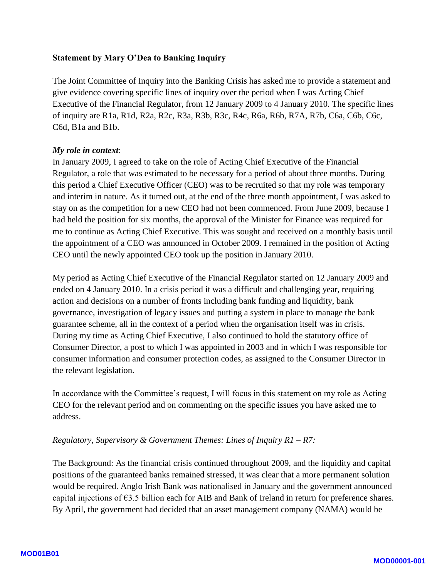#### **Statement by Mary O'Dea to Banking Inquiry**

The Joint Committee of Inquiry into the Banking Crisis has asked me to provide a statement and give evidence covering specific lines of inquiry over the period when I was Acting Chief Executive of the Financial Regulator, from 12 January 2009 to 4 January 2010. The specific lines of inquiry are R1a, R1d, R2a, R2c, R3a, R3b, R3c, R4c, R6a, R6b, R7A, R7b, C6a, C6b, C6c, C6d, B1a and B1b.

#### *My role in context* :

In January 2009, I agreed to take on the role of Acting Chief Executive of the Financial Regulator, a role that was estimated to be necessary for a period of about three months. During this period a Chief Executive Officer (CEO) was to be recruited so that my role was temporary and interim in nature. As it turned out, at the end of the three month appointment, I was asked to stay on as the competition for a new CEO had not been commenced. From June 2009, because I had held the position for six months, the approval of the Minister for Finance was required for me to continue as Acting Chief Executive. This was sought and received on a monthly basis until the appointment of a CEO was announced in October 2009. I remained in the position of Acting CEO until the newly appointed CEO took up the position in January 2010.

My period as Acting Chief Executive of the Financial Regulator started on 12 January 2009 and ended on 4 January 2010. In a crisis period it was a difficult and challenging year, requiring action and decisions on a number of fronts including bank funding and liquidity, bank governance, investigation of legacy issues and putting a system in place to manage the bank guarantee scheme, all in the context of a period when the organisation itself was in crisis. During my time as Acting Chief Executive, I also continued to hold the statutory office of Consumer Director, a post to which I was appointed in 2003 and in which I was responsible for consumer information and consumer protection codes, as assigned to the Consumer Director in the relevant legislation.

In accordance with the Committee's request, I will focus in this statement on my role as Acting CEO for the relevant period and on commenting on the specific issues you have asked me to address.

### Regulatory, Supervisory & Government Themes: Lines of Inquiry R1 – R7:

The Background: As the financial crisis continued throughout 2009, and the liquidity and capital positions of the guaranteed banks remained stressed, it was clear that a more permanent solution would be required. Anglo Irish Bank was nationalised in January and the government announced capital injections of  $63.5$  billion each for AIB and Bank of Ireland in return for preference shares. By April, the government had decided that an asset management company (NAMA) would be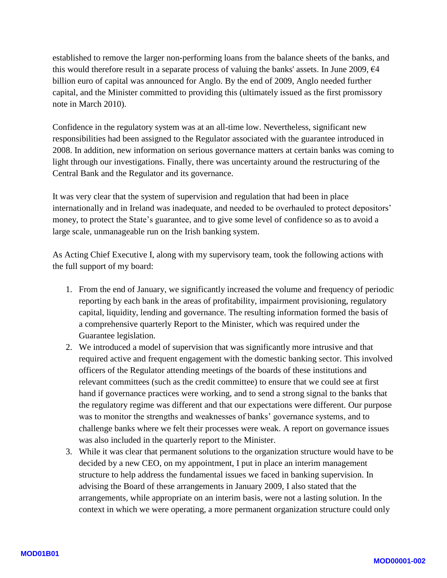established to remove the larger non -performing loans from the balance sheets of the banks, and this would therefore result in a separate process of valuing the banks' assets. In June 2009,  $\epsilon$ 4 billion euro of capital was announced for Anglo. By the end of 2009, Anglo needed further capital, and the Minister committed to providing this (ultimately issued as the first promissory note in March 2010).

Confidence in the regulatory system was at an all -time low. Nevertheless, significant new responsibilities had been assigned to the Regulator associated with the guarantee introduced in 2008. In addition, new information on serious governance matters at certain banks was coming to light through our investigations. Finally, there was uncertainty around the restructuring of the Central Bank and the Regulator and its governance.

It was very clear that the system of supervision and regulation that had been in place internationally and in Ireland was inadequate, and needed to be overhauled to protect depositors' money, to protect the State's guarantee, and to give some level of confidence so as to avoid a large scale, unmanageable run on the Irish banking system.

As Acting Chief Executive I, along with my supervisory team, took the following actions with the full support of my board:

- 1. From the end of January, we significantly increased the volume and frequency of periodic reporting by each bank in the areas of profitability, impairment provisioning, regulatory capital, liquidity, lending and governance. The resulting information formed the basis of a comprehensive quarterly Report to the Minister, which was required under the Guarantee legislation.
- 2. We introduced a model of supervision that was significantly more intrusive and that required active and frequent engagement with the domestic banking sector. This involved officers of the Regulator attending meetings of the boards of these institutions and relevant committees (such as the credit committee) to ensure that we could see at first hand if governance practices were working, and to send a strong signal to the banks that the regulatory regime was different and that our expectations were different. Our purpose was to monitor the strengths and weaknesses of banks' governance systems, and to challenge banks where we felt their processes were weak. A report on governance issues was also included in the quarterly report to the Minister.
- 3. While it was clear that permanent solutions to the organization structure would have to be decided by a new CEO, on my appointment, I put in place an interim management structure to help address the fundamental issues we faced in banking supervision. In advising the Board of these arrangements in January 2009, I also stated that the arrangements, while appropriate on an interim basis, were not a lasting solution. In the context in which we were operating, a more permanent organization structure could only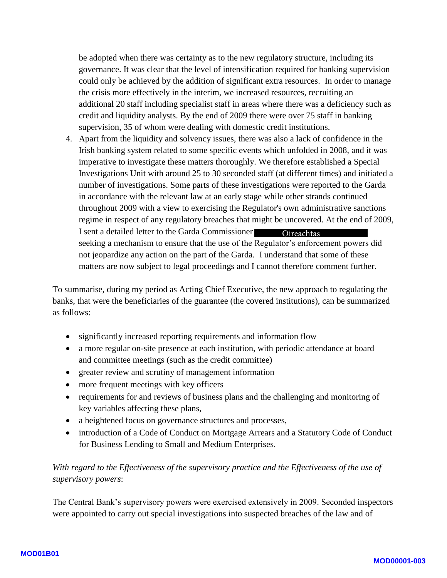be adopted when there was certainty as to the new regulatory structure, including its governance. It was clear that the level of intensification required for banking supervision could only be achieved by the addition of significant extra resources. In order to manage the crisis more effectively in the interim, we increased resources, recruiting an additional 20 staff including specialist staff in areas where there was a deficiency such as credit and liquidity analysts. By the end of 2009 there were over 75 staff in banking supervision, 35 of whom were dealing with domestic credit institutions.

4. Apart from the liquidity and solvency issues, there was also a lack of confidence in the Irish banking system related to some specific events which unfolded in 2008, and it was imperative to investigate these matters thoroughly. We therefore established a Special Investigations Unit with around 25 to 30 seconded staff (at different times) and initiated a number of investigations. Some parts of these investigations were reported to the Garda in accordance with the relevant law at an early stage while other strands continued throughout 2009 with a view to exercising the Regulator's own administrative sanctions regime in respect of any regulatory breaches that might be uncovered. At the end of 2009, I sent a detailed letter to the Garda Commissioner seeking a mechanism to ensure that the use of the Regulator's enforcement powers did not jeopardize any action on the part of the Garda. I understand that some of these matters are now subject to legal proceedings and I cannot therefore comment further. **Oireachtas** 

To summarise, during my period as Acting Chief Executive, the new approach to regulating the banks, that were the beneficiaries of the guarantee (the covered institutions), can be summarized as follows:

- significantly increased reporting requirements and information flow
- a more regular on-site presence at each institution, with periodic attendance at board and committee meetings (such as the credit committee)
- greater review and scrutiny of management information
- more frequent meetings with key officers
- requirements for and reviews of business plans and the challenging and monitoring of key variables affecting these plans,
- a heightened focus on governance structures and processes,
- introduction of a Code of Conduct on Mortgage Arrears and a Statutory Code of Conduct for Business Lending to Small and Medium Enterprises.

## With regard to the Effectiveness of the supervisory practice and the Effectiveness of the use of *supervisory powers*:

The Central Bank's supervisory powers were exercised extensively in 2009. Seconded inspectors were appointed to carry out special investigations into suspected breaches of the law and of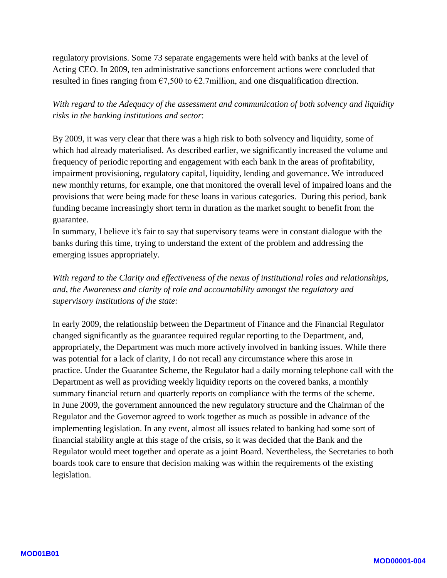regulatory provisions. Some 73 separate engagements were held with banks at the level of Acting CEO. In 2009, ten administrative sanctions enforcement actions were concluded that resulted in fines ranging from  $\epsilon$ 7,500 to  $\epsilon$ 2.7million, and one disqualification direction.

*With regard to the Adequacy of the assessment and communication of both solvency and liquidity risks in the banking institutions and sector* :

By 2009, it was very clear that there was a high risk to both solvency and liquidity, some of which had already materialised. As described earlier, we significantly increased the volume and frequency of periodic reporting and engagement with each bank in the areas of profitability, impairment provisioning, regulatory capital, liquidity, lending and governance. We introduced new monthly returns, for example, one that monitored the overall level of impaired loans and the provisions that were being made for these loans in various categories. During this period, bank funding became increasingly short term in duration as the market sought to benefit from the guarantee.

In summary, I believe it's fair to say that supervisory teams were in constant dialogue with the banks during this time, trying to understand the extent of the problem and addressing the emerging issues appropriately.

*With regard to the Clarity and effectiveness of the nexus of institutional roles and relationships, and, the Awareness and clarity of role and accountability amongst the regulatory and supervisory institutions of the state:*

In early 2009, the relationship between the Department of Finance and the Financial Regulator changed significantly as the guarantee required regular reporting to the Department, and, appropriately, the Department was much more actively involved in banking issues. While there was potential for a lack of clarity, I do not recall any circumstance where this arose in practice. Under the Guarantee Scheme, the Regulator had a daily morning telephone call with the Department as well as providing weekly liquidity reports on the covered banks, a monthly summary financial return and quarterly reports on compliance with the terms of the scheme. In June 2009, the government announced the new regulatory structure and the Chairman of the Regulator and the Governor agreed to work together as much as possible in advance of the implementing legislation. In any event, almost all issues related to banking had some sort of financial stability angle at this stage of the crisis, so it was decided that the Bank and the Regulator would meet together and operate as a joint Board. Nevertheless, the Secretaries to both boards took care to ensure that decision making was within the requirements of the existing legislation.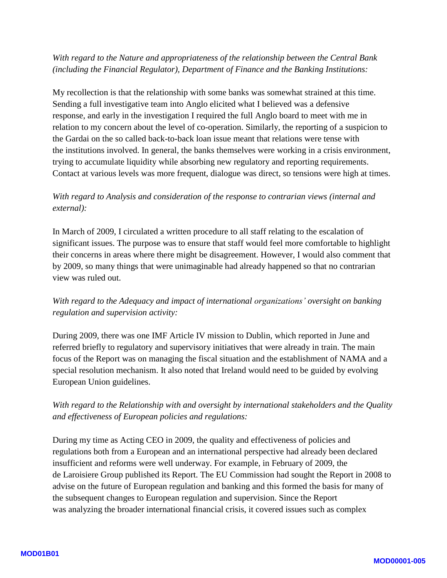### *With regard to the Nature and appropriateness of the relationship between the Central Bank (including the Financial Regulator), Department of Finance and the Banking Institutions:*

My recollection is that the relationship with some banks was somewhat strained at this time. Sending a full investigative team into Anglo elicited what I believed was a defensive response, and early in the investigation I required the full Anglo board to meet with me in relation to my concern about the level of co -operation. Similarly, the reporting of a suspicion to the Gardai on the so called back -to -back loan issue meant that relations were tense with the institutions involved. In general, the banks themselves were working in a crisis environment, trying to accumulate liquidity while absorbing new regulatory and reporting requirements. Contact at various levels was more frequent, dialogue was direct, so tensions were high at times.

## *With regard to Analysis and consideration of the response to contrarian views (internal and external):*

In March of 2009, I circulated a written procedure to all staff relating to the escalation of significant issues. The purpose was to ensure that staff would feel more comfortable to highlight their concerns in areas where there might be disagreement. However, I would also comment that by 2009, so many things that were unimaginable had already happened so that no contrarian view was ruled out.

## *With regard to the Adequacy and impact of international organizations' oversight on banking regulation and supervision activity:*

During 2009, there was one IMF Article IV mission to Dublin, which reported in June and referred briefly to regulatory and supervisory initiatives that were already in train. The main focus of the Report was on managing the fiscal situation and the establishment of NAMA and a special resolution mechanism. It also noted that Ireland would need to be guided by evolving European Union guidelines.

## *With regard to the Relationship with and oversight by international stakeholders and the Quality and effectiveness of European policies and regulations:*

During my time as Acting CEO in 2009, the quality and effectiveness of policies and regulations both from a European and an international perspective had already been declared insufficient and reforms were well underway. For example, in February of 2009, the de Laroisiere Group published its Report. The EU Commission had sought the Report in 2008 to advise on the future of European regulation and banking and this formed the basis for many of the subsequent changes to European regulation and supervision. Since the Report was analyzing the broader international financial crisis, it covered issues such as complex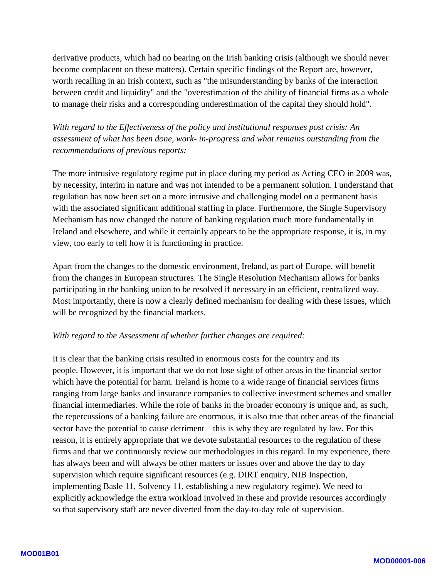derivative products, which had no bearing on the Irish banking crisis (although we should never become complacent on these matters). Certain specific findings of the Report are, however, worth recalling in an Irish context, such as "the misunderstanding by banks of the interaction between credit and liquidity" and the "overestimation of the ability of financial firms as a whole to manage their risks and a corresponding underestimation of the capital they should hold".

*With regard to the Effectiveness of the policy and institutional responses post crisis: An assessment of what has been done, work - in -progress and what remains outstanding from the recommendations of previous reports:*

The more intrusive regulatory regime put in place during my period as Acting CEO in 2009 was, by necessity, interim in nature and was not intended to be a permanent solution. I understand that regulation has now been set on a more intrusive and challenging model on a permanent basis with the associated significant additional staffing in place. Furthermore, the Single Supervisory Mechanism has now changed the nature of banking regulation much more fundamentally in Ireland and elsewhere, and while it certainly appears to be the appropriate response, it is, in my view, too early to tell how it is functioning in practice.

Apart from the changes to the domestic environment, Ireland, as part of Europe, will benefit from the changes in European structures. The Single Resolution Mechanism allows for banks participating in the banking union to be resolved if necessary in an efficient, centralized way. Most importantly, there is now a clearly defined mechanism for dealing with these issues, which will be recognized by the financial markets.

#### *With regard to the Assessment of whether further changes are required:*

It is clear that the banking crisis resulted in enormous costs for the country and its people. However, it is important that we do not lose sight of other areas in the financial sector which have the potential for harm. Ireland is home to a wide range of financial services firms ranging from large banks and insurance companies to collective investment schemes and smaller financial intermediaries. While the role of banks in the broader economy is unique and, as such, the repercussions of a banking failure are enormous, it is also true that other areas of the financial sector have the potential to cause detriment – this is why they are regulated by law. For this reason, it is entirely appropriate that we devote substantial resources to the regulation of these firms and that we continuously review our methodologies in this regard. In my experience, there has always been and will always be other matters or issues over and above the day to day supervision which require significant resources (e.g. DIRT enquiry, NIB Inspection, implementing Basle 11, Solvency 11, establishing a new regulatory regime). We need to explicitly acknowledge the extra workload involved in these and provide resources accordingly so that supervisory staff are never diverted from the day-to-day role of supervision.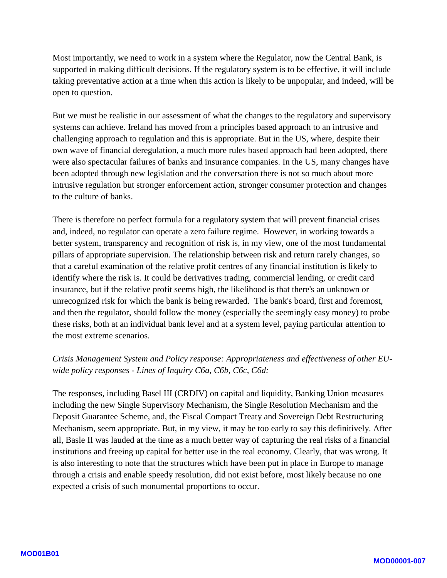Most importantly, we need to work in a system where the Regulator, now the Central Bank, is supported in making difficult decisions. If the regulatory system is to be effective, it will include taking preventative action at a time when this action is likely to be unpopular, and indeed, will be open to question.

But we must be realistic in our assessment of what the changes to the regulatory and supervisory systems can achieve. Ireland has moved from a principles based approach to an intrusive and challenging approach to regulation and this is appropriate. But in the US, where, despite their own wave of financial deregulation, a much more rules based approach had been adopted, there were also spectacular failures of banks and insurance companies. In the US, many changes have been adopted through new legislation and the conversation there is not so much about more intrusive regulation but stronger enforcement action, stronger consumer protection and changes to the culture of banks.

There is therefore no perfect formula for a regulatory system that will prevent financial crises and , indeed, no regulator can operate a zero failure regime. However, in working towards a better system, transparency and recognition of risk is, in my view, one of the most fundamental pillars of appropriate supervision. The relationship between risk and return rarely changes, so that a careful examination of the relative profit centres of any financial institution is likely to identify where the risk is. It could be derivatives trading, commercial lending, or credit card insurance, but if the relative profit seems high, the likelihood is that there's an unknown or unrecognized risk for which the bank is being rewarded. The bank's board, first and foremost, and then the regulator, should follow the money (especially the seemingly easy money) to probe these risks, both at an individual bank level and at a system level, paying particular attention to the most extreme scenarios.

## *Crisis Management System and Policy response: Appropriateness and effectiveness of other EU wide policy responses - Lines of Inquiry C6a, C6b, C6c, C6d:*

The responses, including Basel III (CRDIV) on capital and liquidity, Banking Union measures including the new Single Supervisory Mechanism, the Single Resolution Mechanism and the Deposit Guarantee Scheme, and, the Fiscal Compact Treaty and Sovereign Debt Restructuring Mechanism, seem appropriate. But, in my view, it may be too early to say this definitively. After all, Basle II was lauded at the time as a much better way of capturing the real risks of a financial institutions and freeing up capital for better use in the real economy. Clearly, that was wrong. It is also interesting to note that the structures which have been put in place in Europe to manage through a crisis and enable speedy resolution, did not exist before, most likely because no one expected a crisis of such monumental proportions to occur.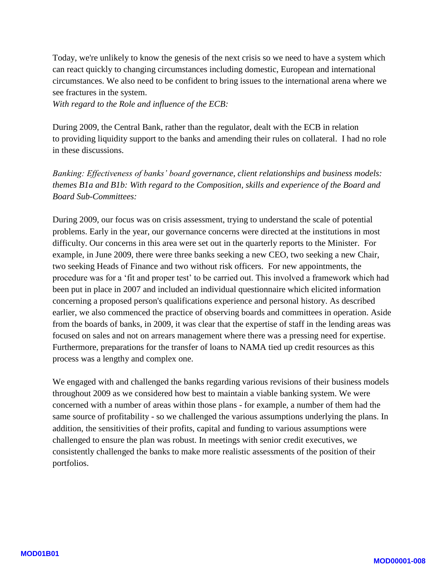Today, we're unlikely to know the genesis of the next crisis so we need to have a system which can react quickly to changing circumstances including domestic, European and international circumstances. We also need to be confident to bring issues to the international arena where we see fractures in the system.

*With regard to the Role and influence of the ECB :*

During 2009, the Central Bank, rather than the regulator, dealt with the ECB in relation to providing liquidity support to the banks and amending their rules on collateral. I had no role in these discussions.

*Banking: Effectiveness of banks' board governance, client relationships and business models: themes B1a and B1b: With regard to the Composition, skills and experience of the Board and Board Sub -Committees:*

During 2009, our focus was on crisis assessment, trying to understand the scale of potential problems. Early in the year, our governance concerns were directed at the institutions in most difficulty. Our concerns in this area were set out in the quarterly reports to the Minister. For example, in June 2009, there were three banks seeking a new CEO, two seeking a new Chair, two seeking Heads of Finance and two without risk officers. For new appointments, the procedure was for a 'fit and proper test' to be carried out. This involved a framework which had been put in place in 2007 and included an individual questionnaire which elicited information concerning a proposed person's qualifications experience and personal history. As described earlier, we also commenced the practice of observing boards and committees in operation. Aside from the boards of banks, in 2009, it was clear that the expertise of staff in the lending areas was focused on sales and not on arrears management where there was a pressing need for expertise. Furthermore, preparations for the transfer of loans to NAMA tied up credit resources as this process was a lengthy and complex one.

We engaged with and challenged the banks regarding various revisions of their business models throughout 2009 as we considered how best to maintain a viable banking system. We were concerned with a number of areas within those plans - for example, a number of them had the same source of profitability - so we challenged the various assumptions underlying the plans. In addition, the sensitivities of their profits, capital and funding to various assumptions were challenged to ensure the plan was robust. In meetings with senior credit executives, we consistently challenged the banks to make more realistic assessments of the position of their portfolios.